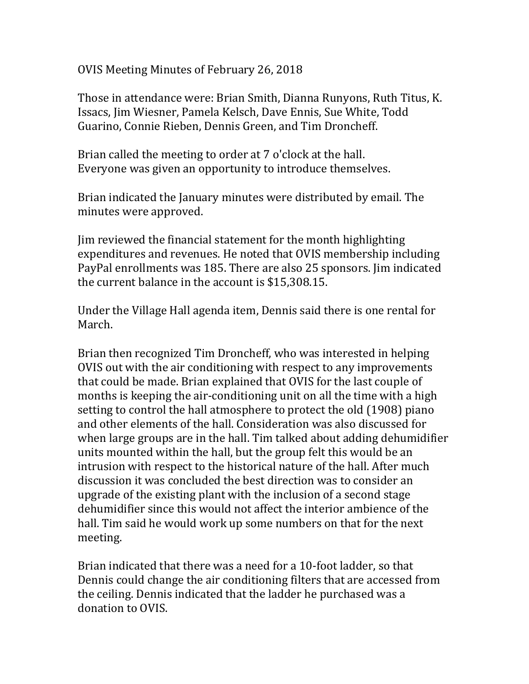OVIS Meeting Minutes of February 26, 2018

Those in attendance were: Brian Smith, Dianna Runyons, Ruth Titus, K. Issacs, Jim Wiesner, Pamela Kelsch, Dave Ennis, Sue White, Todd Guarino, Connie Rieben, Dennis Green, and Tim Droncheff.

Brian called the meeting to order at 7 o'clock at the hall. Everyone was given an opportunity to introduce themselves.

Brian indicated the January minutes were distributed by email. The minutes were approved.

Jim reviewed the financial statement for the month highlighting expenditures and revenues. He noted that OVIS membership including PayPal enrollments was 185. There are also 25 sponsors. Jim indicated the current balance in the account is \$15,308.15.

Under the Village Hall agenda item, Dennis said there is one rental for March.

Brian then recognized Tim Droncheff, who was interested in helping OVIS out with the air conditioning with respect to any improvements that could be made. Brian explained that OVIS for the last couple of months is keeping the air-conditioning unit on all the time with a high setting to control the hall atmosphere to protect the old (1908) piano and other elements of the hall. Consideration was also discussed for when large groups are in the hall. Tim talked about adding dehumidifier units mounted within the hall, but the group felt this would be an intrusion with respect to the historical nature of the hall. After much discussion it was concluded the best direction was to consider an upgrade of the existing plant with the inclusion of a second stage dehumidifier since this would not affect the interior ambience of the hall. Tim said he would work up some numbers on that for the next meeting.

Brian indicated that there was a need for a 10-foot ladder, so that Dennis could change the air conditioning filters that are accessed from the ceiling. Dennis indicated that the ladder he purchased was a donation to OVIS.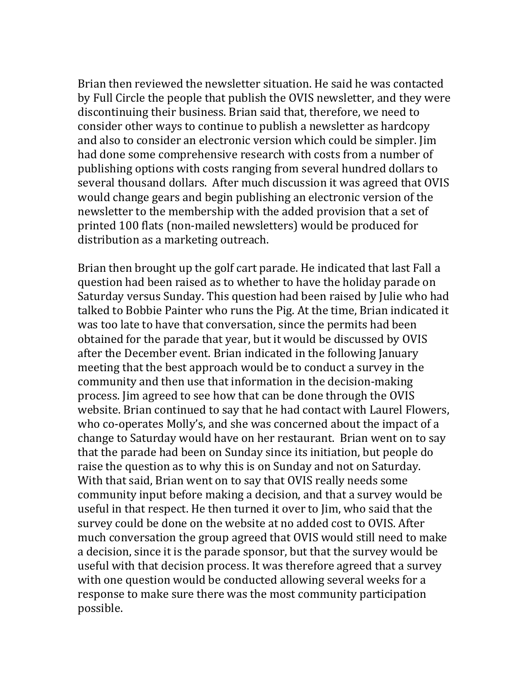Brian then reviewed the newsletter situation. He said he was contacted by Full Circle the people that publish the OVIS newsletter, and they were discontinuing their business. Brian said that, therefore, we need to consider other ways to continue to publish a newsletter as hardcopy and also to consider an electronic version which could be simpler. Jim had done some comprehensive research with costs from a number of publishing options with costs ranging from several hundred dollars to several thousand dollars. After much discussion it was agreed that OVIS would change gears and begin publishing an electronic version of the newsletter to the membership with the added provision that a set of printed 100 flats (non-mailed newsletters) would be produced for distribution as a marketing outreach.

Brian then brought up the golf cart parade. He indicated that last Fall a question had been raised as to whether to have the holiday parade on Saturday versus Sunday. This question had been raised by Julie who had talked to Bobbie Painter who runs the Pig. At the time, Brian indicated it was too late to have that conversation, since the permits had been obtained for the parade that year, but it would be discussed by OVIS after the December event. Brian indicated in the following January meeting that the best approach would be to conduct a survey in the community and then use that information in the decision-making process. Jim agreed to see how that can be done through the OVIS website. Brian continued to say that he had contact with Laurel Flowers, who co-operates Molly's, and she was concerned about the impact of a change to Saturday would have on her restaurant. Brian went on to say that the parade had been on Sunday since its initiation, but people do raise the question as to why this is on Sunday and not on Saturday. With that said, Brian went on to say that OVIS really needs some community input before making a decision, and that a survey would be useful in that respect. He then turned it over to Jim, who said that the survey could be done on the website at no added cost to OVIS. After much conversation the group agreed that OVIS would still need to make a decision, since it is the parade sponsor, but that the survey would be useful with that decision process. It was therefore agreed that a survey with one question would be conducted allowing several weeks for a response to make sure there was the most community participation possible.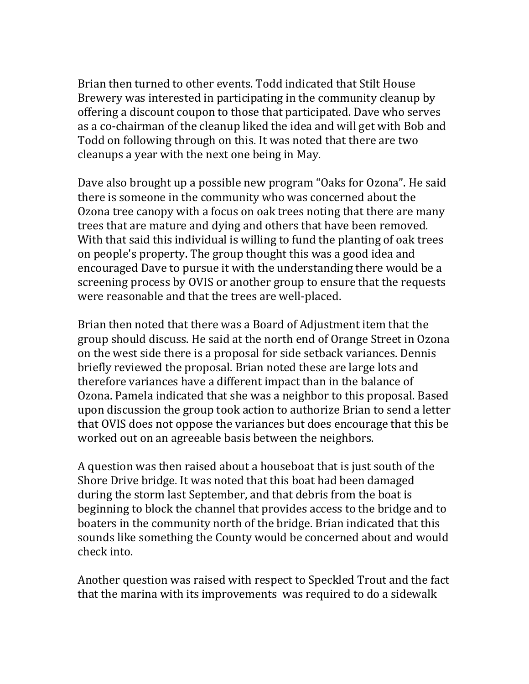Brian then turned to other events. Todd indicated that Stilt House Brewery was interested in participating in the community cleanup by offering a discount coupon to those that participated. Dave who serves as a co-chairman of the cleanup liked the idea and will get with Bob and Todd on following through on this. It was noted that there are two cleanups a year with the next one being in May.

Dave also brought up a possible new program "Oaks for Ozona". He said there is someone in the community who was concerned about the Ozona tree canopy with a focus on oak trees noting that there are many trees that are mature and dying and others that have been removed. With that said this individual is willing to fund the planting of oak trees on people's property. The group thought this was a good idea and encouraged Dave to pursue it with the understanding there would be a screening process by OVIS or another group to ensure that the requests were reasonable and that the trees are well-placed.

Brian then noted that there was a Board of Adjustment item that the group should discuss. He said at the north end of Orange Street in Ozona on the west side there is a proposal for side setback variances. Dennis briefly reviewed the proposal. Brian noted these are large lots and therefore variances have a different impact than in the balance of Ozona. Pamela indicated that she was a neighbor to this proposal. Based upon discussion the group took action to authorize Brian to send a letter that OVIS does not oppose the variances but does encourage that this be worked out on an agreeable basis between the neighbors.

A question was then raised about a houseboat that is just south of the Shore Drive bridge. It was noted that this boat had been damaged during the storm last September, and that debris from the boat is beginning to block the channel that provides access to the bridge and to boaters in the community north of the bridge. Brian indicated that this sounds like something the County would be concerned about and would check into.

Another question was raised with respect to Speckled Trout and the fact that the marina with its improvements was required to do a sidewalk